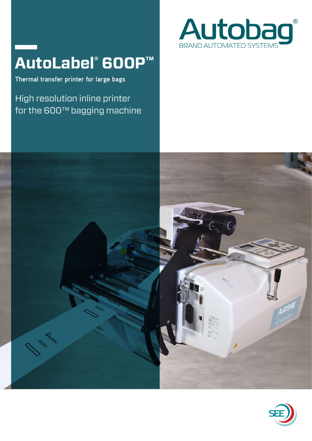# **AutoLabel® 600P™**

**Thermal transfer printer for large bags**

High resolution inline printer for the 600™ bagging machine